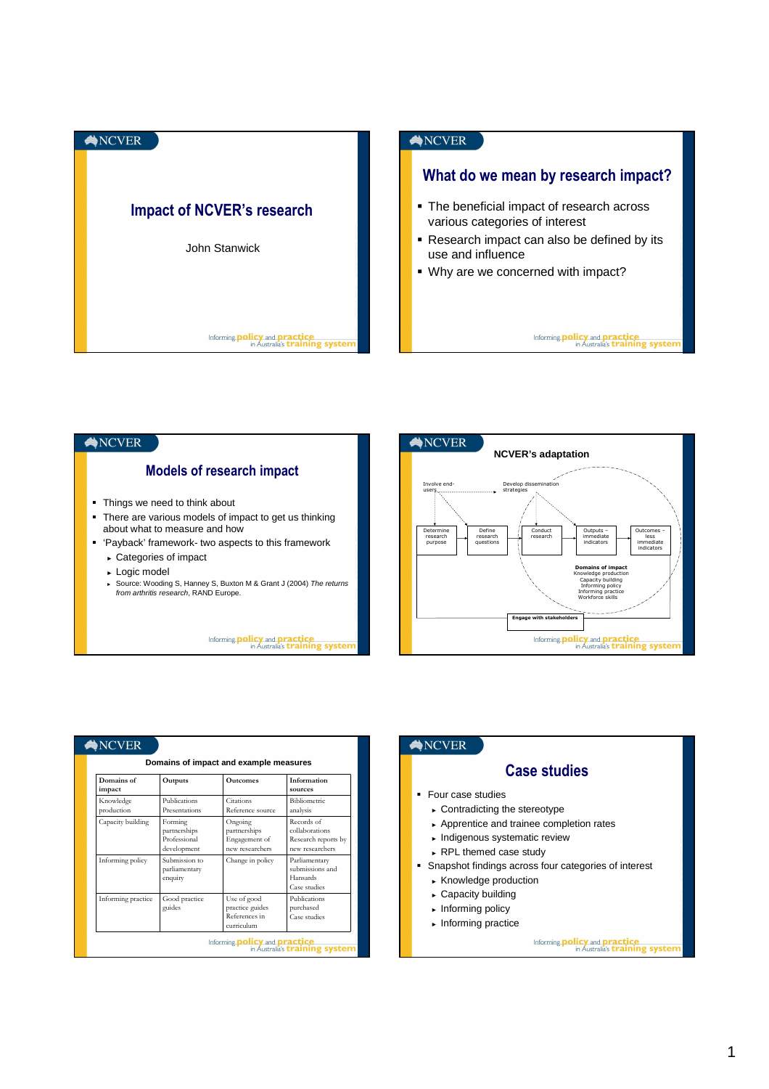



| Domains of impact and example measures |                                                        |                                                               |                                                                        |  |
|----------------------------------------|--------------------------------------------------------|---------------------------------------------------------------|------------------------------------------------------------------------|--|
| Domains of<br>impact                   | Outputs                                                | <b>Outcomes</b>                                               | Information<br>sources                                                 |  |
| Knowledge<br>production                | Publications<br>Presentations                          | Citations<br>Reference source                                 | Bibliometric<br>analysis                                               |  |
| Capacity building                      | Forming<br>partnerships<br>Professional<br>development | Ongoing<br>partnerships<br>Engagement of<br>new researchers   | Records of<br>collaborations<br>Research reports by<br>new researchers |  |
| Informing policy                       | Submission to<br>parliamentary<br>enquiry              | Change in policy                                              | Parliamentary<br>submissions and<br>Hansards<br>Case studies           |  |
| Informing practice                     | Good practice<br>guides                                | Use of good<br>practice guides<br>References in<br>curriculum | Publications<br>purchased<br>Case studies                              |  |

## ANCVER

## **Case studies**

- Four case studies
	- ► Contradicting the stereotype
	- ► Apprentice and trainee completion rates
	- ► Indigenous systematic review
	- ► RPL themed case study
- Snapshot findings across four categories of interest
	- ► Knowledge production
	- ► Capacity building
	- ► Informing policy
	- ► Informing practice

Informing **policy** and **practice**<br>in Australia's **training system**